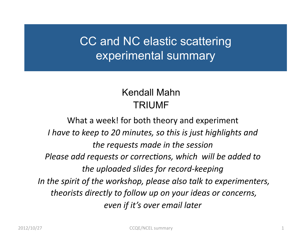# CC and NC elastic scattering experimental summary

## Kendall Mahn TRIUMF

What a week! for both theory and experiment *I have to keep to 20 minutes, so this is just highlights and the requests made in the session Please add requests or corrections, which will be added to the uploaded slides for record‐keeping In the spirit of the workshop, please also talk to experimenters, theorists directly to follow up on your ideas or concerns, even if it's over email later*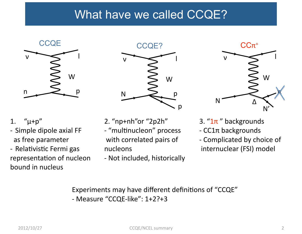# What have we called CCQE?



- 1.  $"µ+p"$
- ‐ Simple dipole axial FF as free parameter
- Relativistic Fermi gas representation of nucleon bound in nucleus



- 2. "np+nh"or "2p2h" - "multinucleon" process with correlated pairs of nucleons
- ‐ Not included, historically



- 3. " $1\pi$ " backgrounds ‐ CC1π backgrounds
- ‐ Complicated by choice of internuclear (FSI) model

Experiments may have different definitions of "CCQE" ‐ Measure "CCQE‐like": 1+2?+3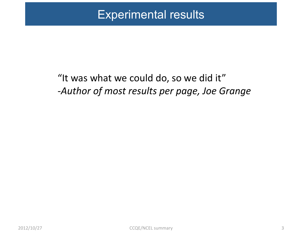# Experimental results

### "It was what we could do, so we did it" ‐*Author of most results per page, Joe Grange*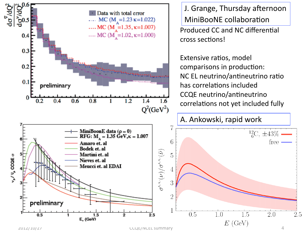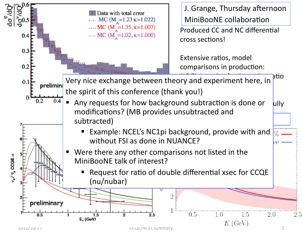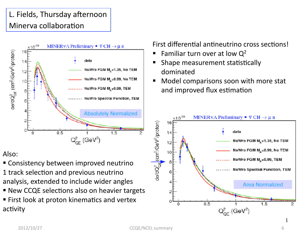### L. Fields, Thursday afternoon Minerva collaboration



#### Also:

 Consistency between improved neutrino 1 track selection and previous neutrino analysis, extended to include wider angles

" New CCQE selections also on heavier targets

**First look at proton kinematics and vertex** activity

First differential antineutrino cross sections!

- Familiar turn over at low  $Q^2$
- Shape measurement statistically dominated
- Model comparisons soon with more stat and improved flux estimation

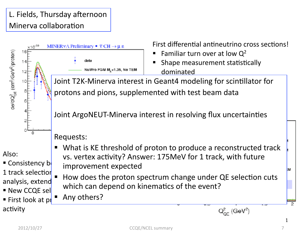### L. Fields, Thursday afternoon Minerva collaboration

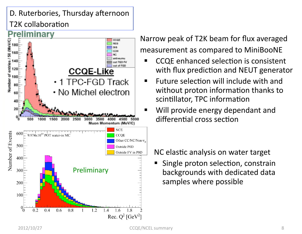### D. Ruterbories, Thursday afternoon **T2K collaboration**

#### Preliminary Number of entries / 50 (MeV/C)<br>5 8 8 8 2 3 4 8 8 9 COGE CO) **CCQE-Like** 1 TPC-FGD Track • No Michel electron 60 40 500 1000 1500 2500 3000 3500 4500 Muon Momentum (MeV/C) **NCE** Number of Events 600  $9.974 \times 10^{19}$  POT water-in MC **CCOE** Other CC/NC/Non-v. 500 Outside P0D Outside FV in P0D 400 Preliminary300 200 100  $0_0^{\square}$  $0.2$  $1.2$  $0.4$ 0.6 0.8  $1.4$ 16 1 R Rec.  $Q^2$  [GeV<sup>2</sup>]

### Narrow peak of T2K beam for flux averaged measurement as compared to MiniBooNE

- CCQE enhanced selection is consistent with flux prediction and NEUT generator
- Future selection will include with and without proton information thanks to scintillator, TPC information
- Will provide energy dependant and differential cross section

NC elastic analysis on water target

Single proton selection, constrain backgrounds with dedicated data samples where possible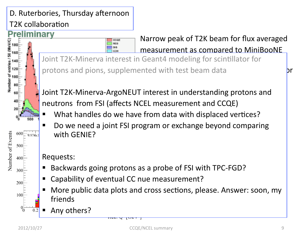### D. Ruterbories, Thursday afternoon T2K collaboration

### Preliminary



Narrow peak of T2K beam for flux averaged measurement as compared to MiniBooNE

Joint T2K‐Minerva interest in Geant4 modeling for scintillator for  $\vert$ protons and pions, supplemented with test beam data **buting** by

Joint T2K-Minerva-ArgoNEUT interest in understanding protons and s in the control of the control of the control of the control of the control of the control of the control of the control of the control of the control of the control of the control of the control of the control of the con neutrons from FSI (affects NCEL measurement and CCQE)

- $\frac{1}{2}$  from data with displaced vertices?  $\overline{\mathbf{a}}$  different consequence in  $\overline{\mathbf{a}}$ What handles do we have from data with displaced vertices?
	- Do we need a joint FSI program or exchange beyond comparing with GENIE?

Requests:

- arobe of CSL with TDC CCD2 but die die virtuur de die data van die verschieden van die verschieden van die van die van die van die van di<br>Die verschiedenische data van die van die van die van die van die van die van die van die van die van die van ■ Backwards going protons as a probe of FSI with TPC-FGD?
- **Capability of eventual CC nue measurement?**
- More public data plots and cross sections, please. Answer: soon, my friends
- Any others? 0.2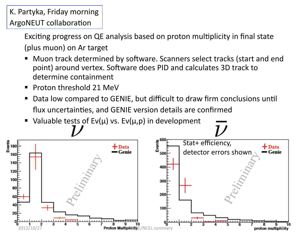### K. Partyka, Friday morning ArgoNEUT collaboration

Exciting progress on QE analysis based on proton multiplicity in final state (plus muon) on Ar target

- Muon track determined by software. Scanners select tracks (start and end point) around vertex. Software does PID and calculates 3D track to determine containment
- **Proton threshold 21 MeV**
- Data low compared to GENIE, but difficult to draw firm conclusions until flux uncertainties, and GENIE version details are confirmed
- Valuable tests of Ev( $\mu$ ) vs. Ev( $\mu$ ,p) in development

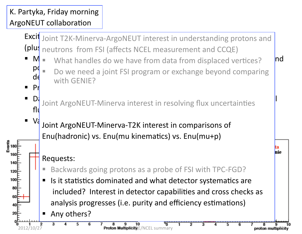### K. Partyka, Friday morning ArgoNEUT collaboration

Excit Joint T2K‐Minerva‐ArgoNEUT interest in understanding protons and (plus neutrons from FSI (affects NCEL measurement and CCQE)

- $\blacksquare$  M  $\blacksquare$  What handles do we have from data from displaced vertices?  $\blacksquare$  nd
- point Round a point  $\frac{1}{2}$  around comparison around to the solution of an original to the solution of the solution of the solution of the solution of the solution of the solution of the solution of the solution of the s  $d\epsilon$  by we need a joint  $P_r$ Do we need a joint FSI program or exchange beyond comparing with GENIE?
- $\bullet$   $\bullet$   $\bullet$  loint ArgoNELIT Minorus interact in resolving flux uncertainties  $\bullet$ flux uncertainty  $\mathsf{H}$ Joint ArgoNEUT-Minerva interest in resolving flux uncertainties
- $V_0$  loint ArgoNELIT Minorya T7K interact in compai  $\mathbf{S} = \mathbf{S}$ Joint ArgoNEUT‐Minerva‐T2K interest in comparisons of Enu(hadronic) vs. Enu(mu kinematics) vs. Enu(mu+p)

### Requests:

등 180

160

140

120

100

80

60

20

- Backwards going protons as a probe of FSI with TPC-FGD?
- Is it statistics dominated and what detector systematics are included? Interest in detector capabilities and cross checks as analysis progresses (i.e. purity and efficiency estimations)
	- Any others?

10 2012/10/27 **Proton Multiplicity Example 2012/10/27 proton multiplicity** 

nie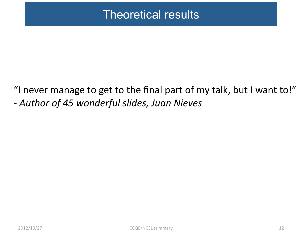# Theoretical results

"I never manage to get to the final part of my talk, but I want to!" ‐ *Author of 45 wonderful slides, Juan Nieves*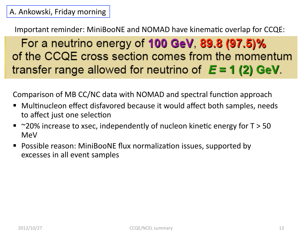Important reminder: MiniBooNE and NOMAD have kinematic overlap for CCQE:

For a neutrino energy of **100 GeV, 89.8 (97.5)%** of the CCQE cross section comes from the momentum transfer range allowed for neutrino of  $E = 1$  (2) GeV.

Comparison of MB CC/NC data with NOMAD and spectral function approach

- Multinucleon effect disfavored because it would affect both samples, needs to affect just one selection
- $\sim$  20% increase to xsec, independently of nucleon kinetic energy for T  $>$  50 MeV
- **Possible reason: MiniBooNE flux normalization issues, supported by** excesses in all event samples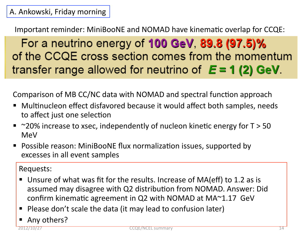Important reminder: MiniBooNE and NOMAD have kinematic overlap for CCQE:

For a neutrino energy of **100 GeV, 89.8 (97.5)%** of the CCQE cross section comes from the momentum transfer range allowed for neutrino of  $E = 1$  (2) GeV.

Comparison of MB CC/NC data with NOMAD and spectral function approach

- Multinucleon effect disfavored because it would affect both samples, needs to affect just one selection
- $\sim$  20% increase to xsec, independently of nucleon kinetic energy for T  $>$  50 MeV
- **Possible reason: MiniBooNE flux normalization issues, supported by** excesses in all event samples

#### Requests:

- Unsure of what was fit for the results. Increase of MA(eff) to 1.2 as is assumed may disagree with Q2 distribution from NOMAD. Answer: Did confirm kinematic agreement in  $Q2$  with NOMAD at MA $\sim$ 1.17 GeV
- Please don't scale the data (it may lead to confusion later)
- Any others?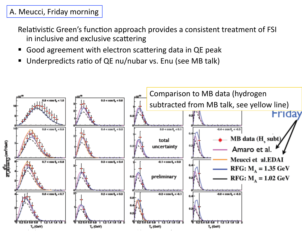#### A. Meucci, Friday morning

Relativistic Green's function approach provides a consistent treatment of FSI in inclusive and exclusive scattering

- Good agreement with electron scattering data in QE peak
- Underpredicts ratio of QE nu/nubar vs. Enu (see MB talk)

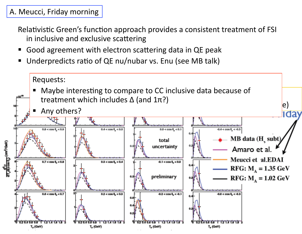### A. Meucci, Friday morning

Relativistic Green's function approach provides a consistent treatment of FSI in inclusive and exclusive scattering

- Good agreement with electron scattering data in QE peak
- Underpredicts ratio of QE nu/nubar vs. Enu (see MB talk)

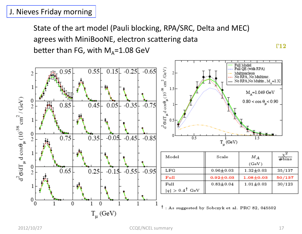#### J. Nieves Friday morning

State of the art model (Pauli blocking, RPA/SRC, Delta and MEC) agrees with MiniBooNE, electron scattering data better than FG, with  $M_A=1.08$  GeV

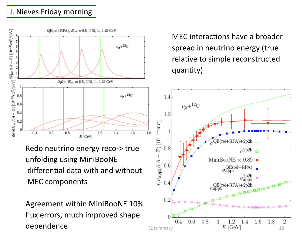#### J. Nieves Friday morning



Redo neutrino energy reco‐> true unfolding using MiniBooNE differential data with and without MEC components

Agreement within MiniBooNE 10% flux errors, much improved shape

MFC interactions have a broader spread in neutrino energy (true relative to simple reconstructed quantity)

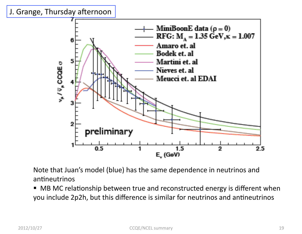#### J. Grange, Thursday afternoon



Note that Juan's model (blue) has the same dependence in neutrinos and antineutrinos

• MB MC relationship between true and reconstructed energy is different when you include 2p2h, but this difference is similar for neutrinos and antineutrinos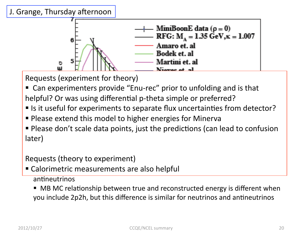#### J. Grange, Thursday afternoon



Requests (experiment for theory)

■ Can experimenters provide "Enu-rec" prior to unfolding and is that helpful? Or was using differential p-theta simple or preferred?

- If is it useful for experiments to separate flux uncertainties from detector?
- **Please extend this model to higher energies for Minerva**
- Please don't scale data points, just the predictions (can lead to confusion later)

Requests (theory to experiment)

" Calorimetric measurements are also helpful

antineutrinos

• MB MC relationship between true and reconstructed energy is different when you include 2p2h, but this difference is similar for neutrinos and antineutrinos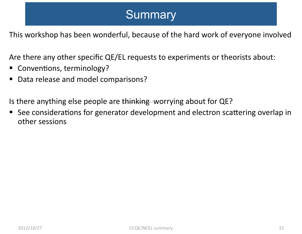# **Summary**

This workshop has been wonderful, because of the hard work of everyone involved

Are there any other specific QE/EL requests to experiments or theorists about:

- Conventions, terminology?
- Data release and model comparisons?

Is there anything else people are thinking worrying about for QE?

See considerations for generator development and electron scattering overlap in other sessions